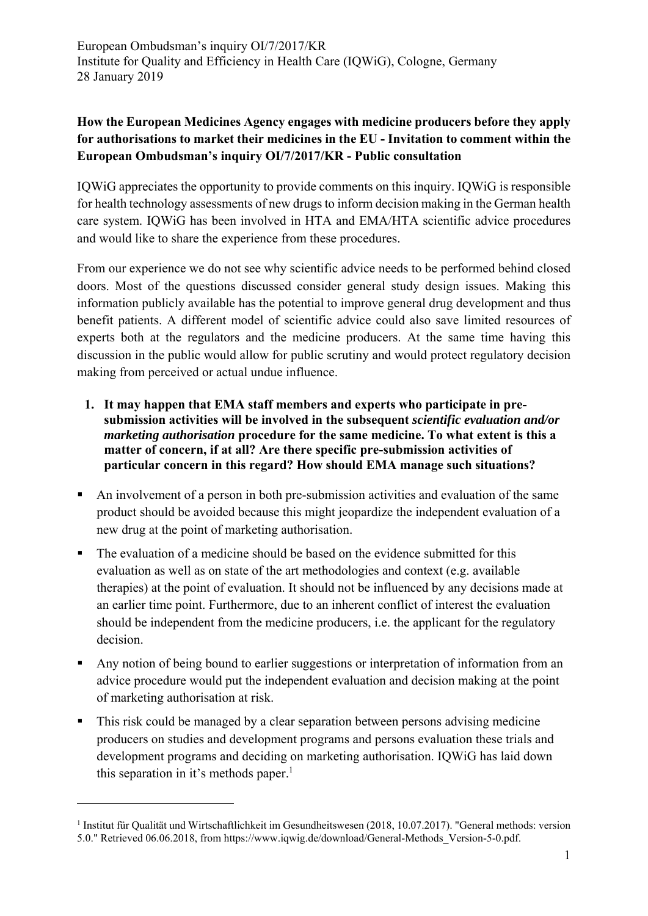## **How the European Medicines Agency engages with medicine producers before they apply for authorisations to market their medicines in the EU - Invitation to comment within the European Ombudsman's inquiry OI/7/2017/KR - Public consultation**

IQWiG appreciates the opportunity to provide comments on this inquiry. IQWiG is responsible for health technology assessments of new drugs to inform decision making in the German health care system. IQWiG has been involved in HTA and EMA/HTA scientific advice procedures and would like to share the experience from these procedures.

From our experience we do not see why scientific advice needs to be performed behind closed doors. Most of the questions discussed consider general study design issues. Making this information publicly available has the potential to improve general drug development and thus benefit patients. A different model of scientific advice could also save limited resources of experts both at the regulators and the medicine producers. At the same time having this discussion in the public would allow for public scrutiny and would protect regulatory decision making from perceived or actual undue influence.

- **1. It may happen that EMA staff members and experts who participate in presubmission activities will be involved in the subsequent** *scientific evaluation and/or marketing authorisation* procedure for the same medicine. To what extent is this a **matter of concern, if at all? Are there specific pre-submission activities of particular concern in this regard? How should EMA manage such situations?**
- An involvement of a person in both pre-submission activities and evaluation of the same product should be avoided because this might jeopardize the independent evaluation of a new drug at the point of marketing authorisation.
- The evaluation of a medicine should be based on the evidence submitted for this evaluation as well as on state of the art methodologies and context (e.g. available therapies) at the point of evaluation. It should not be influenced by any decisions made at an earlier time point. Furthermore, due to an inherent conflict of interest the evaluation should be independent from the medicine producers, i.e. the applicant for the regulatory decision.
- Any notion of being bound to earlier suggestions or interpretation of information from an advice procedure would put the independent evaluation and decision making at the point of marketing authorisation at risk.
- This risk could be managed by a clear separation between persons advising medicine producers on studies and development programs and persons evaluation these trials and development programs and deciding on marketing authorisation. IQWiG has laid down this separation in it's methods paper.<sup>1</sup>

<sup>&</sup>lt;sup>1</sup> Institut für Qualität und Wirtschaftlichkeit im Gesundheitswesen (2018, 10.07.2017). "General methods: version 5.0." Retrieved 06.06.2018, from https://www.iqwig.de/download/General-Methods\_Version-5-0.pdf.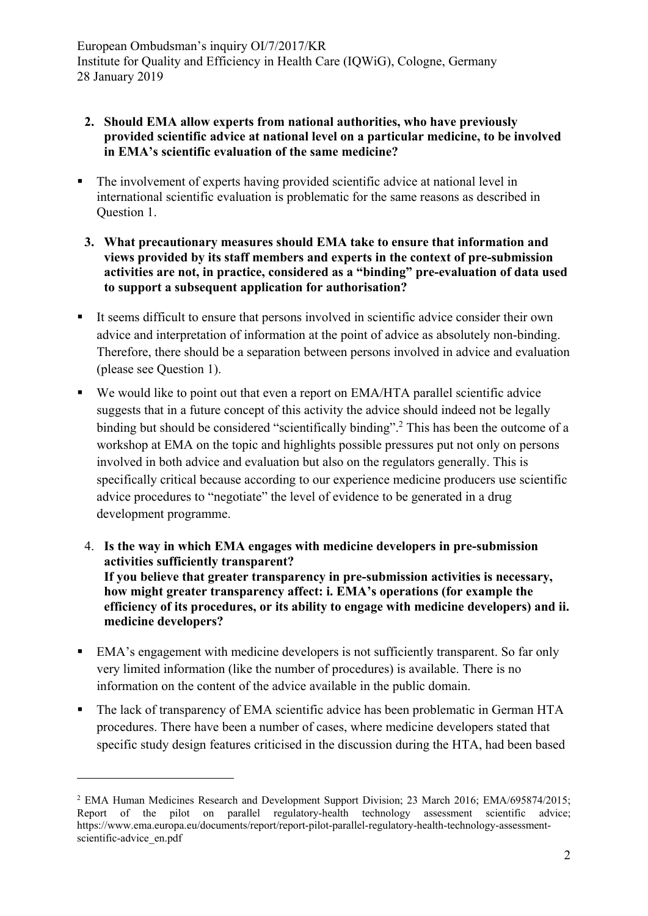- **2. Should EMA allow experts from national authorities, who have previously provided scientific advice at national level on a particular medicine, to be involved in EMA's scientific evaluation of the same medicine?**
- The involvement of experts having provided scientific advice at national level in international scientific evaluation is problematic for the same reasons as described in Question 1.
- **3. What precautionary measures should EMA take to ensure that information and views provided by its staff members and experts in the context of pre-submission activities are not, in practice, considered as a "binding" pre-evaluation of data used to support a subsequent application for authorisation?**
- It seems difficult to ensure that persons involved in scientific advice consider their own advice and interpretation of information at the point of advice as absolutely non-binding. Therefore, there should be a separation between persons involved in advice and evaluation (please see Question 1).
- We would like to point out that even a report on EMA/HTA parallel scientific advice suggests that in a future concept of this activity the advice should indeed not be legally binding but should be considered "scientifically binding".<sup>2</sup> This has been the outcome of a workshop at EMA on the topic and highlights possible pressures put not only on persons involved in both advice and evaluation but also on the regulators generally. This is specifically critical because according to our experience medicine producers use scientific advice procedures to "negotiate" the level of evidence to be generated in a drug development programme.
	- 4. **Is the way in which EMA engages with medicine developers in pre-submission activities sufficiently transparent? If you believe that greater transparency in pre-submission activities is necessary, how might greater transparency affect: i. EMA's operations (for example the efficiency of its procedures, or its ability to engage with medicine developers) and ii. medicine developers?**
- EMA's engagement with medicine developers is not sufficiently transparent. So far only very limited information (like the number of procedures) is available. There is no information on the content of the advice available in the public domain.
- The lack of transparency of EMA scientific advice has been problematic in German HTA procedures. There have been a number of cases, where medicine developers stated that specific study design features criticised in the discussion during the HTA, had been based

<sup>&</sup>lt;sup>2</sup> EMA Human Medicines Research and Development Support Division; 23 March 2016; EMA/695874/2015; Report of the pilot on parallel regulatory-health technology assessment scientific advice; https://www.ema.europa.eu/documents/report/report-pilot-parallel-regulatory-health-technology-assessmentscientific-advice\_en.pdf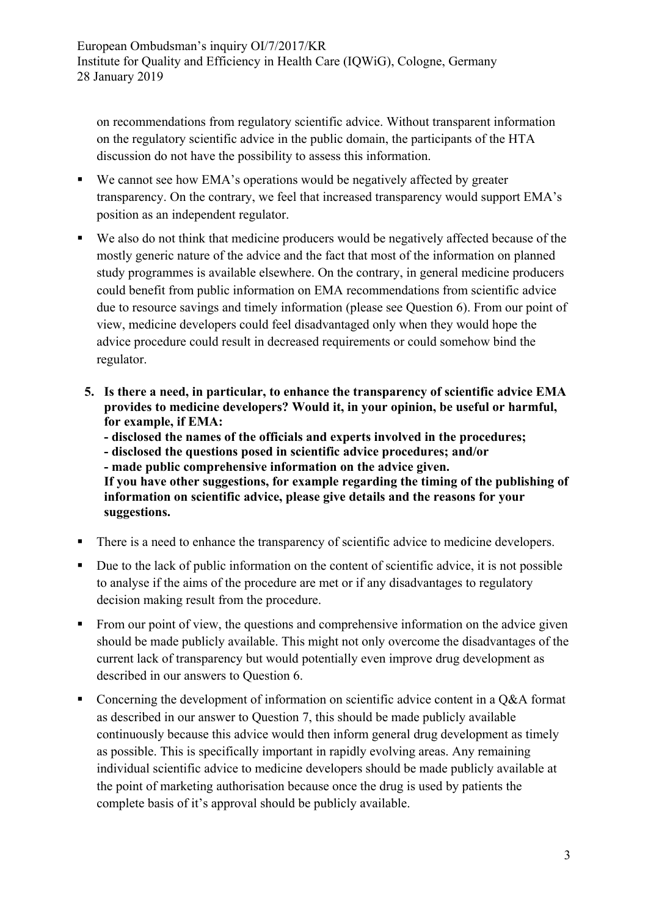on recommendations from regulatory scientific advice. Without transparent information on the regulatory scientific advice in the public domain, the participants of the HTA discussion do not have the possibility to assess this information.

- We cannot see how EMA's operations would be negatively affected by greater transparency. On the contrary, we feel that increased transparency would support EMA's position as an independent regulator.
- We also do not think that medicine producers would be negatively affected because of the mostly generic nature of the advice and the fact that most of the information on planned study programmes is available elsewhere. On the contrary, in general medicine producers could benefit from public information on EMA recommendations from scientific advice due to resource savings and timely information (please see Question 6). From our point of view, medicine developers could feel disadvantaged only when they would hope the advice procedure could result in decreased requirements or could somehow bind the regulator.
- **5. Is there a need, in particular, to enhance the transparency of scientific advice EMA provides to medicine developers? Would it, in your opinion, be useful or harmful, for example, if EMA:** 
	- **disclosed the names of the officials and experts involved in the procedures;**
	- **disclosed the questions posed in scientific advice procedures; and/or**
	- **made public comprehensive information on the advice given.**

**If you have other suggestions, for example regarding the timing of the publishing of information on scientific advice, please give details and the reasons for your suggestions.** 

- There is a need to enhance the transparency of scientific advice to medicine developers.
- Due to the lack of public information on the content of scientific advice, it is not possible to analyse if the aims of the procedure are met or if any disadvantages to regulatory decision making result from the procedure.
- From our point of view, the questions and comprehensive information on the advice given should be made publicly available. This might not only overcome the disadvantages of the current lack of transparency but would potentially even improve drug development as described in our answers to Question 6.
- Concerning the development of information on scientific advice content in a Q&A format as described in our answer to Question 7, this should be made publicly available continuously because this advice would then inform general drug development as timely as possible. This is specifically important in rapidly evolving areas. Any remaining individual scientific advice to medicine developers should be made publicly available at the point of marketing authorisation because once the drug is used by patients the complete basis of it's approval should be publicly available.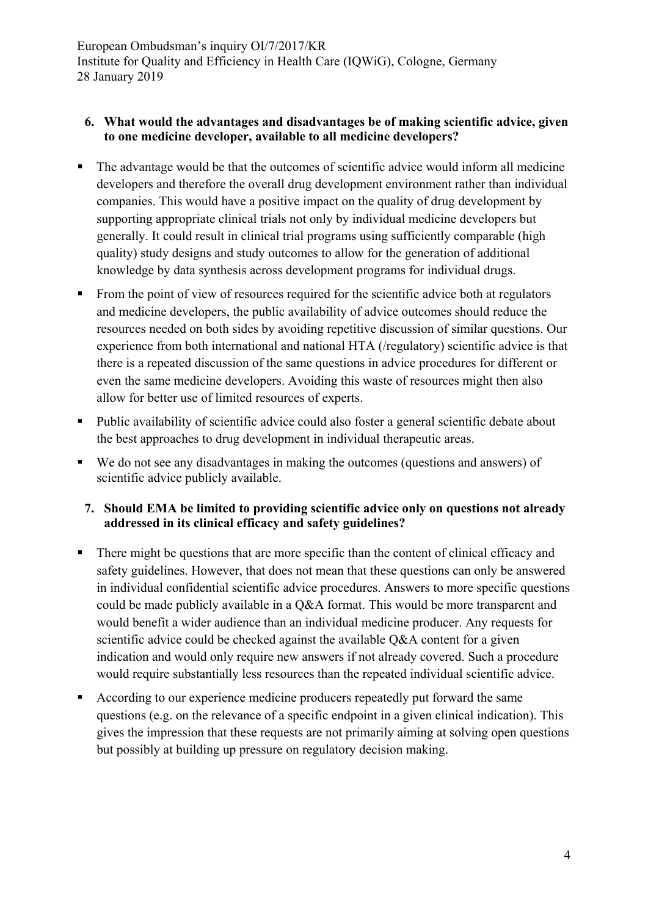## **6. What would the advantages and disadvantages be of making scientific advice, given to one medicine developer, available to all medicine developers?**

- The advantage would be that the outcomes of scientific advice would inform all medicine developers and therefore the overall drug development environment rather than individual companies. This would have a positive impact on the quality of drug development by supporting appropriate clinical trials not only by individual medicine developers but generally. It could result in clinical trial programs using sufficiently comparable (high quality) study designs and study outcomes to allow for the generation of additional knowledge by data synthesis across development programs for individual drugs.
- From the point of view of resources required for the scientific advice both at regulators and medicine developers, the public availability of advice outcomes should reduce the resources needed on both sides by avoiding repetitive discussion of similar questions. Our experience from both international and national HTA (/regulatory) scientific advice is that there is a repeated discussion of the same questions in advice procedures for different or even the same medicine developers. Avoiding this waste of resources might then also allow for better use of limited resources of experts.
- Public availability of scientific advice could also foster a general scientific debate about the best approaches to drug development in individual therapeutic areas.
- We do not see any disadvantages in making the outcomes (questions and answers) of scientific advice publicly available.

## **7. Should EMA be limited to providing scientific advice only on questions not already addressed in its clinical efficacy and safety guidelines?**

- There might be questions that are more specific than the content of clinical efficacy and safety guidelines. However, that does not mean that these questions can only be answered in individual confidential scientific advice procedures. Answers to more specific questions could be made publicly available in a Q&A format. This would be more transparent and would benefit a wider audience than an individual medicine producer. Any requests for scientific advice could be checked against the available Q&A content for a given indication and would only require new answers if not already covered. Such a procedure would require substantially less resources than the repeated individual scientific advice.
- According to our experience medicine producers repeatedly put forward the same questions (e.g. on the relevance of a specific endpoint in a given clinical indication). This gives the impression that these requests are not primarily aiming at solving open questions but possibly at building up pressure on regulatory decision making.